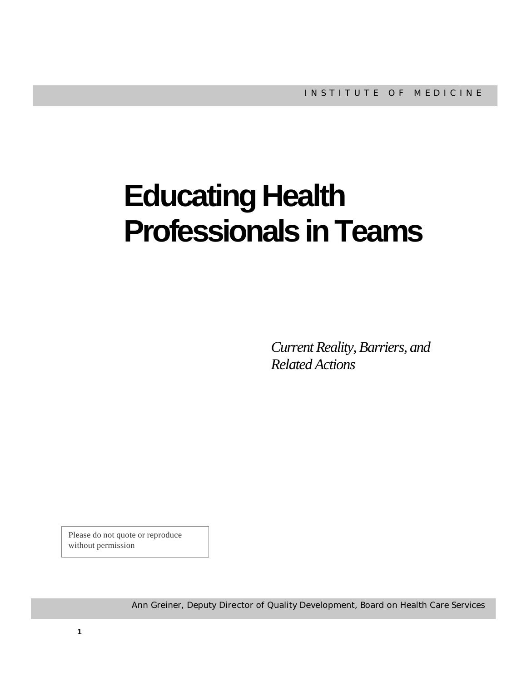# **Educating Health Professionals in Teams**

*Current Reality, Barriers, and Related Actions*

Please do not quote or reproduce without permission

Ann Greiner, Deputy Director of Quality Development, Board on Health Care Services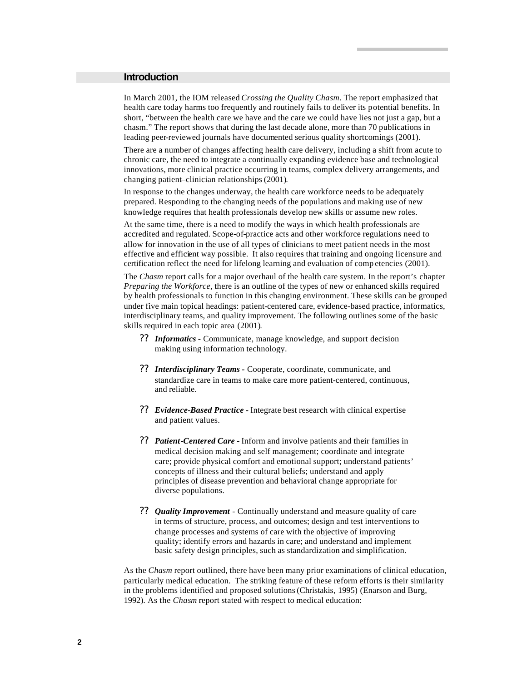#### **Introduction**

In March 2001, the IOM released *Crossing the Quality Chasm*. The report emphasized that health care today harms too frequently and routinely fails to deliver its potential benefits. In short, "between the health care we have and the care we could have lies not just a gap, but a chasm." The report shows that during the last decade alone, more than 70 publications in leading peer-reviewed journals have documented serious quality shortcomings (2001).

There are a number of changes affecting health care delivery, including a shift from acute to chronic care, the need to integrate a continually expanding evidence base and technological innovations, more clinical practice occurring in teams, complex delivery arrangements, and changing patient–clinician relationships (2001).

In response to the changes underway, the health care workforce needs to be adequately prepared. Responding to the changing needs of the populations and making use of new knowledge requires that health professionals develop new skills or assume new roles.

At the same time, there is a need to modify the ways in which health professionals are accredited and regulated. Scope-of-practice acts and other workforce regulations need to allow for innovation in the use of all types of clinicians to meet patient needs in the most effective and efficient way possible. It also requires that training and ongoing licensure and certification reflect the need for lifelong learning and evaluation of comp etencies (2001).

The *Chasm* report calls for a major overhaul of the health care system. In the report's chapter *Preparing the Workforce*, there is an outline of the types of new or enhanced skills required by health professionals to function in this changing environment. These skills can be grouped under five main topical headings: patient-centered care, evidence-based practice, informatics, interdisciplinary teams, and quality improvement. The following outlines some of the basic skills required in each topic area (2001).

- ?? *Informatics -* Communicate, manage knowledge, and support decision making using information technology.
- ?? *Interdisciplinary Teams -* Cooperate, coordinate, communicate, and standardize care in teams to make care more patient-centered, continuous, and reliable.
- ?? *Evidence-Based Practice -* Integrate best research with clinical expertise and patient values.
- ?? *Patient-Centered Care*  Inform and involve patients and their families in medical decision making and self management; coordinate and integrate care; provide physical comfort and emotional support; understand patients' concepts of illness and their cultural beliefs; understand and apply principles of disease prevention and behavioral change appropriate for diverse populations.
- ?? *Quality Improvement* Continually understand and measure quality of care in terms of structure, process, and outcomes; design and test interventions to change processes and systems of care with the objective of improving quality; identify errors and hazards in care; and understand and implement basic safety design principles, such as standardization and simplification.

As the *Chasm* report outlined, there have been many prior examinations of clinical education, particularly medical education. The striking feature of these reform efforts is their similarity in the problems identified and proposed solutions (Christakis, 1995) (Enarson and Burg, 1992). As the *Chasm* report stated with respect to medical education: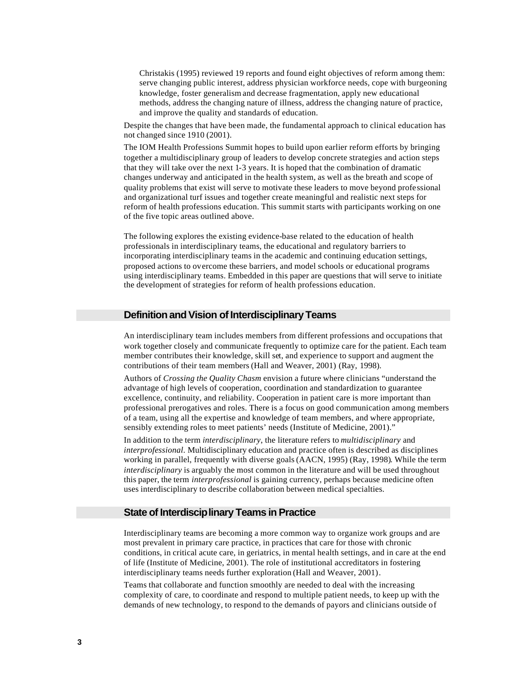Christakis (1995) reviewed 19 reports and found eight objectives of reform among them: serve changing public interest, address physician workforce needs, cope with burgeoning knowledge, foster generalism and decrease fragmentation, apply new educational methods, address the changing nature of illness, address the changing nature of practice, and improve the quality and standards of education.

Despite the changes that have been made, the fundamental approach to clinical education has not changed since 1910 (2001).

The IOM Health Professions Summit hopes to build upon earlier reform efforts by bringing together a multidisciplinary group of leaders to develop concrete strategies and action steps that they will take over the next 1-3 years. It is hoped that the combination of dramatic changes underway and anticipated in the health system, as well as the breath and scope of quality problems that exist will serve to motivate these leaders to move beyond professional and organizational turf issues and together create meaningful and realistic next steps for reform of health professions education. This summit starts with participants working on one of the five topic areas outlined above.

The following explores the existing evidence-base related to the education of health professionals in interdisciplinary teams, the educational and regulatory barriers to incorporating interdisciplinary teams in the academic and continuing education settings, proposed actions to overcome these barriers, and model schools or educational programs using interdisciplinary teams. Embedded in this paper are questions that will serve to initiate the development of strategies for reform of health professions education.

#### **Definition and Vision of Interdisciplinary Teams**

An interdisciplinary team includes members from different professions and occupations that work together closely and communicate frequently to optimize care for the patient. Each team member contributes their knowledge, skill set, and experience to support and augment the contributions of their team members (Hall and Weaver, 2001) (Ray, 1998).

Authors of *Crossing the Quality Chasm* envision a future where clinicians "understand the advantage of high levels of cooperation, coordination and standardization to guarantee excellence, continuity, and reliability. Cooperation in patient care is more important than professional prerogatives and roles. There is a focus on good communication among members of a team, using all the expertise and knowledge of team members, and where appropriate, sensibly extending roles to meet patients' needs (Institute of Medicine, 2001)."

In addition to the term *interdisciplinary*, the literature refers to *multidisciplinary* and *interprofessional*. Multidisciplinary education and practice often is described as disciplines working in parallel, frequently with diverse goals (AACN, 1995) (Ray, 1998). While the term *interdisciplinary* is arguably the most common in the literature and will be used throughout this paper, the term *interprofessional* is gaining currency, perhaps because medicine often uses interdisciplinary to describe collaboration between medical specialties.

# **State of Interdisciplinary Teams in Practice**

Interdisciplinary teams are becoming a more common way to organize work groups and are most prevalent in primary care practice, in practices that care for those with chronic conditions, in critical acute care, in geriatrics, in mental health settings, and in care at the end of life (Institute of Medicine, 2001). The role of institutional accreditators in fostering interdisciplinary teams needs further exploration (Hall and Weaver, 2001).

Teams that collaborate and function smoothly are needed to deal with the increasing complexity of care, to coordinate and respond to multiple patient needs, to keep up with the demands of new technology, to respond to the demands of payors and clinicians outside of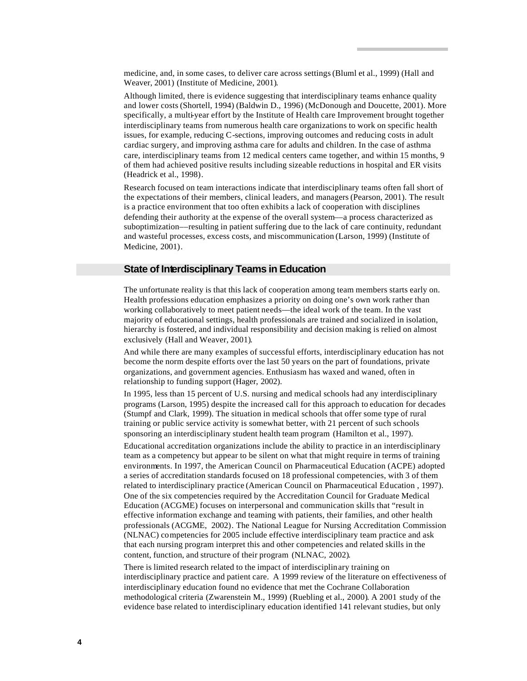medicine, and, in some cases, to deliver care across settings (Bluml et al., 1999) (Hall and Weaver, 2001) (Institute of Medicine, 2001).

Although limited, there is evidence suggesting that interdisciplinary teams enhance quality and lower costs (Shortell, 1994) (Baldwin D., 1996) (McDonough and Doucette, 2001). More specifically, a multi-year effort by the Institute of Health care Improvement brought together interdisciplinary teams from numerous health care organizations to work on specific health issues, for example, reducing C-sections, improving outcomes and reducing costs in adult cardiac surgery, and improving asthma care for adults and children. In the case of asthma care, interdisciplinary teams from 12 medical centers came together, and within 15 months, 9 of them had achieved positive results including sizeable reductions in hospital and ER visits (Headrick et al., 1998).

Research focused on team interactions indicate that interdisciplinary teams often fall short of the expectations of their members, clinical leaders, and managers (Pearson, 2001). The result is a practice environment that too often exhibits a lack of cooperation with disciplines defending their authority at the expense of the overall system––a process characterized as suboptimization––resulting in patient suffering due to the lack of care continuity, redundant and wasteful processes, excess costs, and miscommunication (Larson, 1999) (Institute of Medicine, 2001).

# **State of Interdisciplinary Teams in Education**

The unfortunate reality is that this lack of cooperation among team members starts early on. Health professions education emphasizes a priority on doing one's own work rather than working collaboratively to meet patient needs––the ideal work of the team. In the vast majority of educational settings, health professionals are trained and socialized in isolation, hierarchy is fostered, and individual responsibility and decision making is relied on almost exclusively (Hall and Weaver, 2001).

And while there are many examples of successful efforts, interdisciplinary education has not become the norm despite efforts over the last 50 years on the part of foundations, private organizations, and government agencies. Enthusiasm has waxed and waned, often in relationship to funding support (Hager, 2002).

In 1995, less than 15 percent of U.S. nursing and medical schools had any interdisciplinary programs (Larson, 1995) despite the increased call for this approach to education for decades (Stumpf and Clark, 1999). The situation in medical schools that offer some type of rural training or public service activity is somewhat better, with 21 percent of such schools sponsoring an interdisciplinary student health team program (Hamilton et al., 1997).

Educational accreditation organizations include the ability to practice in an interdisciplinary team as a competency but appear to be silent on what that might require in terms of training environments. In 1997, the American Council on Pharmaceutical Education (ACPE) adopted a series of accreditation standards focused on 18 professional competencies, with 3 of them related to interdisciplinary practice (American Council on Pharmaceutical Education , 1997). One of the six competencies required by the Accreditation Council for Graduate Medical Education (ACGME) focuses on interpersonal and communication skills that "result in effective information exchange and teaming with patients, their families, and other health professionals (ACGME, 2002). The National League for Nursing Accreditation Commission (NLNAC) competencies for 2005 include effective interdisciplinary team practice and ask that each nursing program interpret this and other competencies and related skills in the content, function, and structure of their program (NLNAC, 2002).

There is limited research related to the impact of interdisciplinary training on interdisciplinary practice and patient care. A 1999 review of the literature on effectiveness of interdisciplinary education found no evidence that met the Cochrane Collaboration methodological criteria (Zwarenstein M., 1999) (Ruebling et al., 2000). A 2001 study of the evidence base related to interdisciplinary education identified 141 relevant studies, but only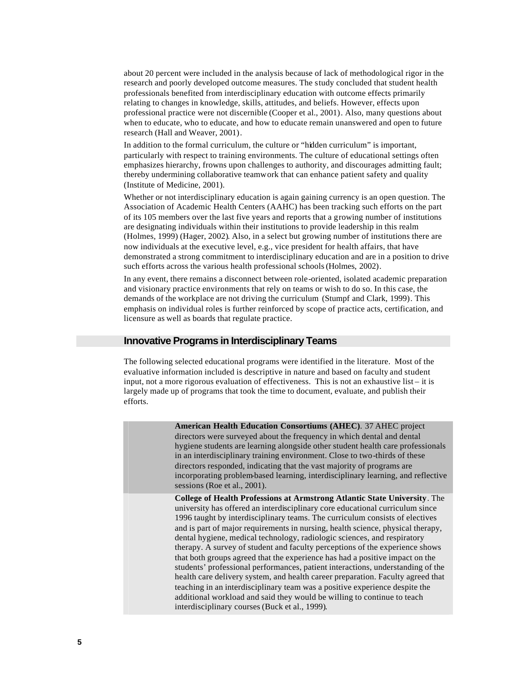about 20 percent were included in the analysis because of lack of methodological rigor in the research and poorly developed outcome measures. The study concluded that student health professionals benefited from interdisciplinary education with outcome effects primarily relating to changes in knowledge, skills, attitudes, and beliefs. However, effects upon professional practice were not discernible (Cooper et al., 2001). Also, many questions about when to educate, who to educate, and how to educate remain unanswered and open to future research (Hall and Weaver, 2001).

In addition to the formal curriculum, the culture or "hidden curriculum" is important, particularly with respect to training environments. The culture of educational settings often emphasizes hierarchy, frowns upon challenges to authority, and discourages admitting fault; thereby undermining collaborative teamwork that can enhance patient safety and quality (Institute of Medicine, 2001).

Whether or not interdisciplinary education is again gaining currency is an open question. The Association of Academic Health Centers (AAHC) has been tracking such efforts on the part of its 105 members over the last five years and reports that a growing number of institutions are designating individuals within their institutions to provide leadership in this realm (Holmes, 1999) (Hager, 2002). Also, in a select but growing number of institutions there are now individuals at the executive level, e.g., vice president for health affairs, that have demonstrated a strong commitment to interdisciplinary education and are in a position to drive such efforts across the various health professional schools (Holmes, 2002).

In any event, there remains a disconnect between role-oriented, isolated academic preparation and visionary practice environments that rely on teams or wish to do so. In this case, the demands of the workplace are not driving the curriculum (Stumpf and Clark, 1999). This emphasis on individual roles is further reinforced by scope of practice acts, certification, and licensure as well as boards that regulate practice.

## **Innovative Programs in Interdisciplinary Teams**

The following selected educational programs were identified in the literature. Most of the evaluative information included is descriptive in nature and based on faculty and student input, not a more rigorous evaluation of effectiveness. This is not an exhaustive list – it is largely made up of programs that took the time to document, evaluate, and publish their efforts.

**American Health Education Consortiums (AHEC)**. 37 AHEC project directors were surveyed about the frequency in which dental and dental hygiene students are learning alongside other student health care professionals in an interdisciplinary training environment. Close to two-thirds of these directors responded, indicating that the vast majority of programs are incorporating problem-based learning, interdisciplinary learning, and reflective sessions (Roe et al., 2001). **College of Health Professions at Armstrong Atlantic State University**. The university has offered an interdisciplinary core educational curriculum since 1996 taught by interdisciplinary teams. The curriculum consists of electives and is part of major requirements in nursing, health science, physical therapy, dental hygiene, medical technology, radiologic sciences, and respiratory therapy. A survey of student and faculty perceptions of the experience shows that both groups agreed that the experience has had a positive impact on the students' professional performances, patient interactions, understanding of the health care delivery system, and health career preparation. Faculty agreed that teaching in an interdisciplinary team was a positive experience despite the additional workload and said they would be willing to continue to teach interdisciplinary courses (Buck et al., 1999).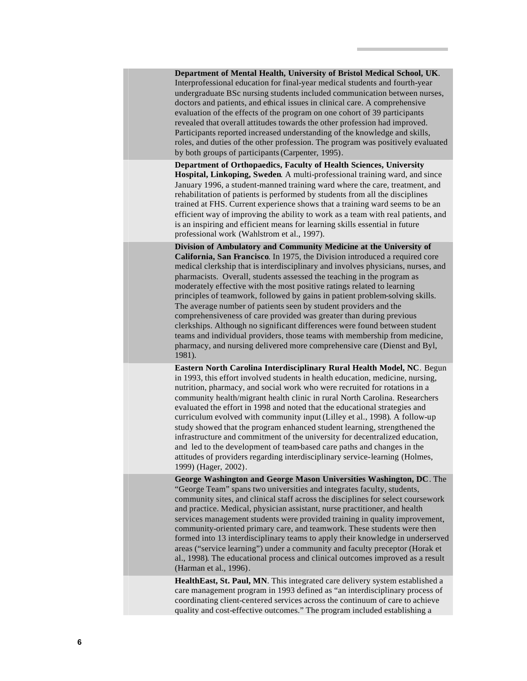| Department of Mental Health, University of Bristol Medical School, UK.<br>Interprofessional education for final-year medical students and fourth-year<br>undergraduate BSc nursing students included communication between nurses,<br>doctors and patients, and ethical issues in clinical care. A comprehensive<br>evaluation of the effects of the program on one cohort of 39 participants<br>revealed that overall attitudes towards the other profession had improved.<br>Participants reported increased understanding of the knowledge and skills,<br>roles, and duties of the other profession. The program was positively evaluated<br>by both groups of participants (Carpenter, 1995).                                                                                                                                                                       |
|-------------------------------------------------------------------------------------------------------------------------------------------------------------------------------------------------------------------------------------------------------------------------------------------------------------------------------------------------------------------------------------------------------------------------------------------------------------------------------------------------------------------------------------------------------------------------------------------------------------------------------------------------------------------------------------------------------------------------------------------------------------------------------------------------------------------------------------------------------------------------|
| Department of Orthopaedics, Faculty of Health Sciences, University<br>Hospital, Linkoping, Sweden. A multi-professional training ward, and since<br>January 1996, a student-manned training ward where the care, treatment, and<br>rehabilitation of patients is performed by students from all the disciplines<br>trained at FHS. Current experience shows that a training ward seems to be an<br>efficient way of improving the ability to work as a team with real patients, and<br>is an inspiring and efficient means for learning skills essential in future<br>professional work (Wahlstrom et al., 1997).                                                                                                                                                                                                                                                       |
| Division of Ambulatory and Community Medicine at the University of<br>California, San Francisco. In 1975, the Division introduced a required core<br>medical clerkship that is interdisciplinary and involves physicians, nurses, and<br>pharmacists. Overall, students assessed the teaching in the program as<br>moderately effective with the most positive ratings related to learning<br>principles of teamwork, followed by gains in patient problem-solving skills.<br>The average number of patients seen by student providers and the<br>comprehensiveness of care provided was greater than during previous<br>clerkships. Although no significant differences were found between student<br>teams and individual providers, those teams with membership from medicine,<br>pharmacy, and nursing delivered more comprehensive care (Dienst and Byl,<br>1981). |
| Eastern North Carolina Interdisciplinary Rural Health Model, NC. Begun<br>in 1993, this effort involved students in health education, medicine, nursing,<br>nutrition, pharmacy, and social work who were recruited for rotations in a<br>community health/migrant health clinic in rural North Carolina. Researchers<br>evaluated the effort in 1998 and noted that the educational strategies and<br>curriculum evolved with community input (Lilley et al., 1998). A follow-up<br>study showed that the program enhanced student learning, strengthened the<br>infrastructure and commitment of the university for decentralized education,<br>and led to the development of team-based care paths and changes in the<br>attitudes of providers regarding interdisciplinary service-learning (Holmes,<br>1999) (Hager, 2002).                                        |
| George Washington and George Mason Universities Washington, DC. The<br>"George Team" spans two universities and integrates faculty, students,<br>community sites, and clinical staff across the disciplines for select coursework<br>and practice. Medical, physician assistant, nurse practitioner, and health<br>services management students were provided training in quality improvement,<br>community-oriented primary care, and teamwork. These students were then<br>formed into 13 interdisciplinary teams to apply their knowledge in underserved<br>areas ("service learning") under a community and faculty preceptor (Horak et<br>al., 1998). The educational process and clinical outcomes improved as a result<br>(Harman et al., 1996).                                                                                                                 |
| HealthEast, St. Paul, MN. This integrated care delivery system established a<br>care management program in 1993 defined as "an interdisciplinary process of<br>coordinating client-centered services across the continuum of care to achieve<br>quality and cost-effective outcomes." The program included establishing a                                                                                                                                                                                                                                                                                                                                                                                                                                                                                                                                               |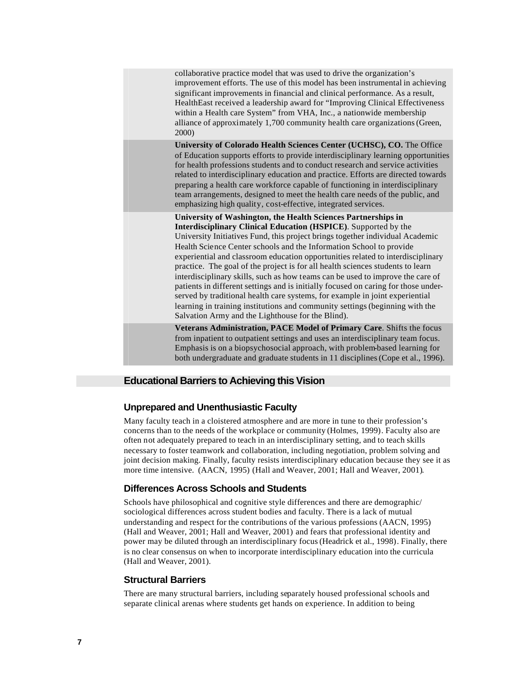| collaborative practice model that was used to drive the organization's<br>improvement efforts. The use of this model has been instrumental in achieving<br>significant improvements in financial and clinical performance. As a result,<br>HealthEast received a leadership award for "Improving Clinical Effectiveness<br>within a Health care System" from VHA, Inc., a nationwide membership<br>alliance of approximately 1,700 community health care organizations (Green,<br>2000)                                                                                                                                                                                                                                                                                                                                                                    |
|------------------------------------------------------------------------------------------------------------------------------------------------------------------------------------------------------------------------------------------------------------------------------------------------------------------------------------------------------------------------------------------------------------------------------------------------------------------------------------------------------------------------------------------------------------------------------------------------------------------------------------------------------------------------------------------------------------------------------------------------------------------------------------------------------------------------------------------------------------|
| University of Colorado Health Sciences Center (UCHSC), CO. The Office<br>of Education supports efforts to provide interdisciplinary learning opportunities<br>for health professions students and to conduct research and service activities<br>related to interdisciplinary education and practice. Efforts are directed towards<br>preparing a health care workforce capable of functioning in interdisciplinary<br>team arrangements, designed to meet the health care needs of the public, and<br>emphasizing high quality, cost-effective, integrated services.                                                                                                                                                                                                                                                                                       |
| University of Washington, the Health Sciences Partnerships in<br>Interdisciplinary Clinical Education (HSPICE). Supported by the<br>University Initiatives Fund, this project brings together individual Academic<br>Health Science Center schools and the Information School to provide<br>experiential and classroom education opportunities related to interdisciplinary<br>practice. The goal of the project is for all health sciences students to learn<br>interdisciplinary skills, such as how teams can be used to improve the care of<br>patients in different settings and is initially focused on caring for those under-<br>served by traditional health care systems, for example in joint experiential<br>learning in training institutions and community settings (beginning with the<br>Salvation Army and the Lighthouse for the Blind). |
| Veterans Administration, PACE Model of Primary Care. Shifts the focus<br>from inpatient to outpatient settings and uses an interdisciplinary team focus.<br>Emphasis is on a biopsychosocial approach, with problem-based learning for<br>both undergraduate and graduate students in 11 disciplines (Cope et al., 1996).                                                                                                                                                                                                                                                                                                                                                                                                                                                                                                                                  |

# **Educational Barriers to Achieving this Vision**

# **Unprepared and Unenthusiastic Faculty**

Many faculty teach in a cloistered atmosphere and are more in tune to their profession's concerns than to the needs of the workplace or community (Holmes, 1999). Faculty also are often not adequately prepared to teach in an interdisciplinary setting, and to teach skills necessary to foster teamwork and collaboration, including negotiation, problem solving and joint decision making. Finally, faculty resists interdisciplinary education because they see it as more time intensive. (AACN, 1995) (Hall and Weaver, 2001; Hall and Weaver, 2001).

## **Differences Across Schools and Students**

Schools have philosophical and cognitive style differences and there are demographic/ sociological differences across student bodies and faculty. There is a lack of mutual understanding and respect for the contributions of the various professions (AACN, 1995) (Hall and Weaver, 2001; Hall and Weaver, 2001) and fears that professional identity and power may be diluted through an interdisciplinary focus (Headrick et al., 1998). Finally, there is no clear consensus on when to incorporate interdisciplinary education into the curricula (Hall and Weaver, 2001).

## **Structural Barriers**

There are many structural barriers, including separately housed professional schools and separate clinical arenas where students get hands on experience. In addition to being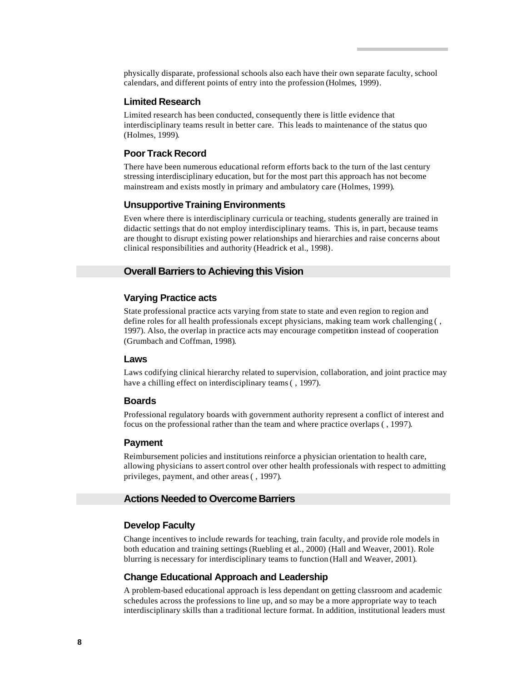physically disparate, professional schools also each have their own separate faculty, school calendars, and different points of entry into the profession (Holmes, 1999).

#### **Limited Research**

Limited research has been conducted, consequently there is little evidence that interdisciplinary teams result in better care. This leads to maintenance of the status quo (Holmes, 1999).

# **Poor Track Record**

There have been numerous educational reform efforts back to the turn of the last century stressing interdisciplinary education, but for the most part this approach has not become mainstream and exists mostly in primary and ambulatory care (Holmes, 1999).

#### **Unsupportive Training Environments**

Even where there is interdisciplinary curricula or teaching, students generally are trained in didactic settings that do not employ interdisciplinary teams. This is, in part, because teams are thought to disrupt existing power relationships and hierarchies and raise concerns about clinical responsibilities and authority (Headrick et al., 1998).

## **Overall Barriers to Achieving this Vision**

## **Varying Practice acts**

State professional practice acts varying from state to state and even region to region and define roles for all health professionals except physicians, making team work challenging ( , 1997). Also, the overlap in practice acts may encourage competition instead of cooperation (Grumbach and Coffman, 1998).

#### **Laws**

Laws codifying clinical hierarchy related to supervision, collaboration, and joint practice may have a chilling effect on interdisciplinary teams ( , 1997).

#### **Boards**

Professional regulatory boards with government authority represent a conflict of interest and focus on the professional rather than the team and where practice overlaps ( , 1997).

#### **Payment**

Reimbursement policies and institutions reinforce a physician orientation to health care, allowing physicians to assert control over other health professionals with respect to admitting privileges, payment, and other areas ( , 1997).

# **Actions Needed to Overcome Barriers**

## **Develop Faculty**

Change incentives to include rewards for teaching, train faculty, and provide role models in both education and training settings (Ruebling et al., 2000) (Hall and Weaver, 2001). Role blurring is necessary for interdisciplinary teams to function (Hall and Weaver, 2001).

#### **Change Educational Approach and Leadership**

A problem-based educational approach is less dependant on getting classroom and academic schedules across the professions to line up, and so may be a more appropriate way to teach interdisciplinary skills than a traditional lecture format. In addition, institutional leaders must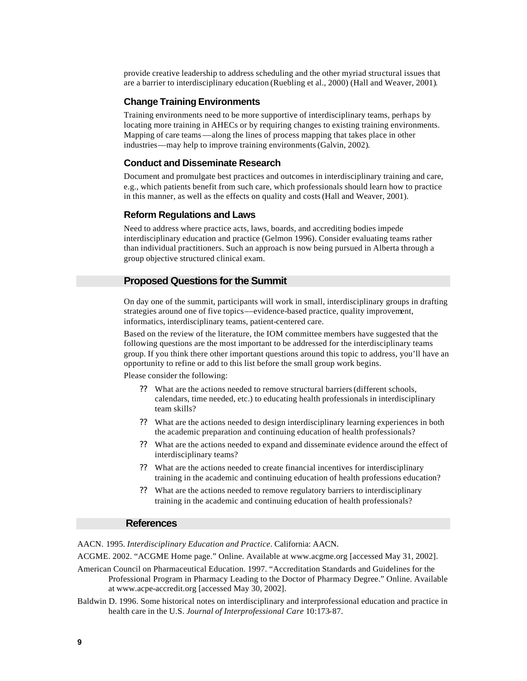provide creative leadership to address scheduling and the other myriad structural issues that are a barrier to interdisciplinary education (Ruebling et al., 2000) (Hall and Weaver, 2001).

#### **Change Training Environments**

Training environments need to be more supportive of interdisciplinary teams, perhaps by locating more training in AHECs or by requiring changes to existing training environments. Mapping of care teams ––along the lines of process mapping that takes place in other industries––may help to improve training environments (Galvin, 2002).

#### **Conduct and Disseminate Research**

Document and promulgate best practices and outcomes in interdisciplinary training and care, e.g., which patients benefit from such care, which professionals should learn how to practice in this manner, as well as the effects on quality and costs (Hall and Weaver, 2001).

#### **Reform Regulations and Laws**

Need to address where practice acts, laws, boards, and accrediting bodies impede interdisciplinary education and practice (Gelmon 1996). Consider evaluating teams rather than individual practitioners. Such an approach is now being pursued in Alberta through a group objective structured clinical exam.

# **Proposed Questions for the Summit**

On day one of the summit, participants will work in small, interdisciplinary groups in drafting strategies around one of five topics––evidence-based practice, quality improvement, informatics, interdisciplinary teams, patient-centered care.

Based on the review of the literature, the IOM committee members have suggested that the following questions are the most important to be addressed for the interdisciplinary teams group. If you think there other important questions around this topic to address, you'll have an opportunity to refine or add to this list before the small group work begins.

Please consider the following:

- ?? What are the actions needed to remove structural barriers (different schools, calendars, time needed, etc.) to educating health professionals in interdisciplinary team skills?
- ?? What are the actions needed to design interdisciplinary learning experiences in both the academic preparation and continuing education of health professionals?
- ?? What are the actions needed to expand and disseminate evidence around the effect of interdisciplinary teams?
- ?? What are the actions needed to create financial incentives for interdisciplinary training in the academic and continuing education of health professions education?
- ?? What are the actions needed to remove regulatory barriers to interdisciplinary training in the academic and continuing education of health professionals?

#### **References**

AACN. 1995. *Interdisciplinary Education and Practice*. California: AACN.

ACGME. 2002. "ACGME Home page." Online. Available at www.acgme.org [accessed May 31, 2002].

American Council on Pharmaceutical Education. 1997. "Accreditation Standards and Guidelines for the Professional Program in Pharmacy Leading to the Doctor of Pharmacy Degree." Online. Available at www.acpe-accredit.org [accessed May 30, 2002].

Baldwin D. 1996. Some historical notes on interdisciplinary and interprofessional education and practice in health care in the U.S. *Journal of Interprofessional Care* 10:173-87.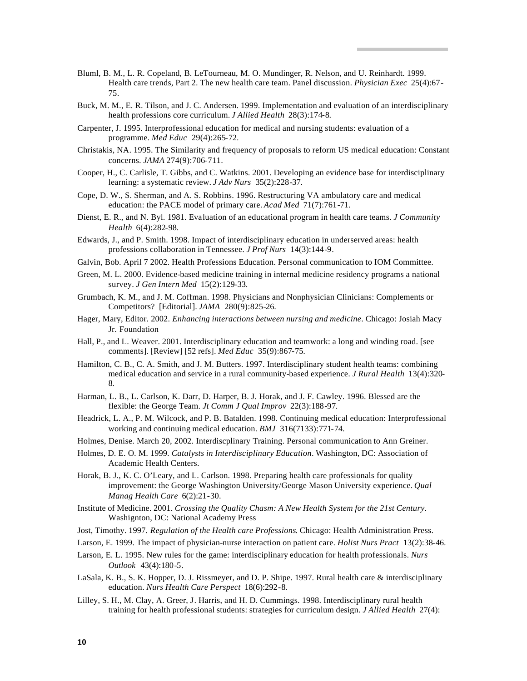- Bluml, B. M., L. R. Copeland, B. LeTourneau, M. O. Mundinger, R. Nelson, and U. Reinhardt. 1999. Health care trends, Part 2. The new health care team. Panel discussion. *Physician Exec* 25(4):67- 75.
- Buck, M. M., E. R. Tilson, and J. C. Andersen. 1999. Implementation and evaluation of an interdisciplinary health professions core curriculum. *J Allied Health* 28(3):174-8.
- Carpenter, J. 1995. Interprofessional education for medical and nursing students: evaluation of a programme. *Med Educ* 29(4):265-72.
- Christakis, NA. 1995. The Similarity and frequency of proposals to reform US medical education: Constant concerns. *JAMA* 274(9):706-711.
- Cooper, H., C. Carlisle, T. Gibbs, and C. Watkins. 2001. Developing an evidence base for interdisciplinary learning: a systematic review. *J Adv Nurs* 35(2):228-37.
- Cope, D. W., S. Sherman, and A. S. Robbins. 1996. Restructuring VA ambulatory care and medical education: the PACE model of primary care. *Acad Med* 71(7):761-71.
- Dienst, E. R., and N. Byl. 1981. Evaluation of an educational program in health care teams. *J Community Health* 6(4):282-98.
- Edwards, J., and P. Smith. 1998. Impact of interdisciplinary education in underserved areas: health professions collaboration in Tennessee. *J Prof Nurs* 14(3):144-9.
- Galvin, Bob. April 7 2002. Health Professions Education. Personal communication to IOM Committee.
- Green, M. L. 2000. Evidence-based medicine training in internal medicine residency programs a national survey. *J Gen Intern Med* 15(2):129-33.
- Grumbach, K. M., and J. M. Coffman. 1998. Physicians and Nonphysician Clinicians: Complements or Competitors? [Editorial]. *JAMA* 280(9):825-26.
- Hager, Mary, Editor. 2002. *Enhancing interactions between nursing and medicine*. Chicago: Josiah Macy Jr. Foundation
- Hall, P., and L. Weaver. 2001. Interdisciplinary education and teamwork: a long and winding road. [see comments]. [Review] [52 refs]. *Med Educ* 35(9):867-75.
- Hamilton, C. B., C. A. Smith, and J. M. Butters. 1997. Interdisciplinary student health teams: combining medical education and service in a rural community-based experience. *J Rural Health* 13(4):320- 8.
- Harman, L. B., L. Carlson, K. Darr, D. Harper, B. J. Horak, and J. F. Cawley. 1996. Blessed are the flexible: the George Team. *Jt Comm J Qual Improv* 22(3):188-97.
- Headrick, L. A., P. M. Wilcock, and P. B. Batalden. 1998. Continuing medical education: Interprofessional working and continuing medical education. *BMJ* 316(7133):771-74.
- Holmes, Denise. March 20, 2002. Interdiscplinary Training. Personal communication to Ann Greiner.
- Holmes, D. E. O. M. 1999. *Catalysts in Interdisciplinary Education*. Washington, DC: Association of Academic Health Centers.
- Horak, B. J., K. C. O'Leary, and L. Carlson. 1998. Preparing health care professionals for quality improvement: the George Washington University/George Mason University experience. *Qual Manag Health Care* 6(2):21-30.
- Institute of Medicine. 2001. *Crossing the Quality Chasm: A New Health System for the 21st Century*. Washignton, DC: National Academy Press
- Jost, Timothy. 1997. *Regulation of the Health care Professions*. Chicago: Health Administration Press.
- Larson, E. 1999. The impact of physician-nurse interaction on patient care. *Holist Nurs Pract* 13(2):38-46.
- Larson, E. L. 1995. New rules for the game: interdisciplinary education for health professionals. *Nurs Outlook* 43(4):180-5.
- LaSala, K. B., S. K. Hopper, D. J. Rissmeyer, and D. P. Shipe. 1997. Rural health care & interdisciplinary education. *Nurs Health Care Perspect* 18(6):292-8.
- Lilley, S. H., M. Clay, A. Greer, J. Harris, and H. D. Cummings. 1998. Interdisciplinary rural health training for health professional students: strategies for curriculum design. *J Allied Health* 27(4):